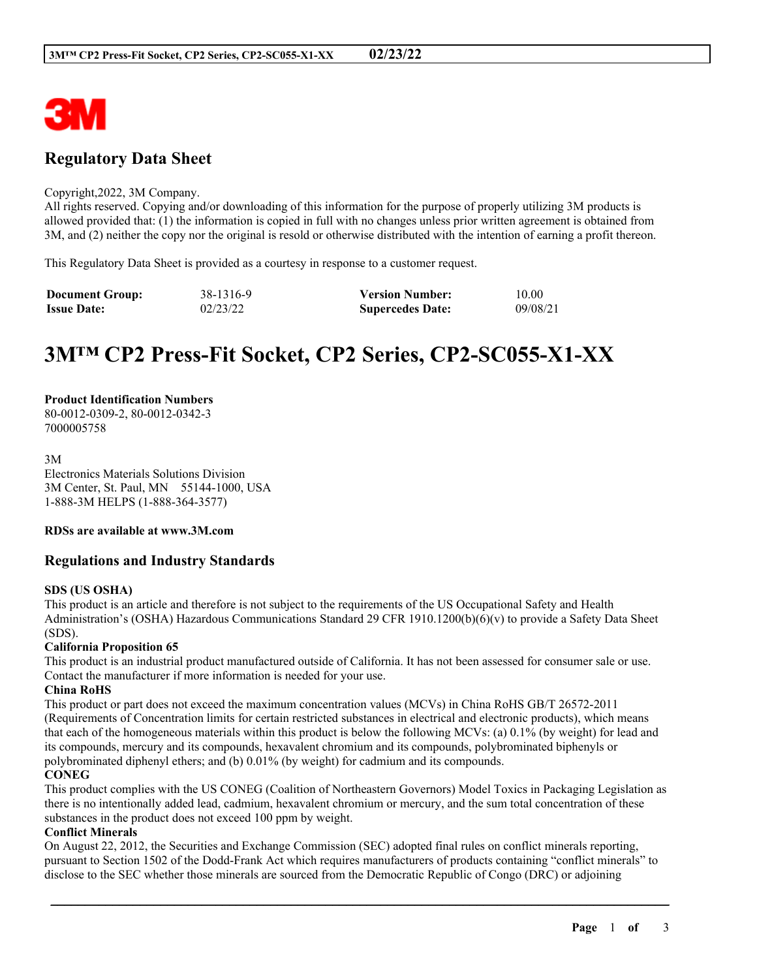

## **Regulatory Data Sheet**

#### Copyright,2022, 3M Company.

All rights reserved. Copying and/or downloading of this information for the purpose of properly utilizing 3M products is allowed provided that: (1) the information is copied in full with no changes unless prior written agreement is obtained from 3M, and (2) neither the copy nor the original is resold or otherwise distributed with the intention of earning a profit thereon.

This Regulatory Data Sheet is provided as a courtesy in response to a customer request.

| <b>Document Group:</b> | 38-1316-9 | <b>Version Number:</b>  | 10.00    |
|------------------------|-----------|-------------------------|----------|
| <b>Issue Date:</b>     | 02/23/22  | <b>Supercedes Date:</b> | 09/08/21 |

# **3M™ CP2 Press-Fit Socket, CP2 Series, CP2-SC055-X1-XX**

#### **Product Identification Numbers** 80-0012-0309-2, 80-0012-0342-3 7000005758

3M Electronics Materials Solutions Division 3M Center, St. Paul, MN 55144-1000, USA 1-888-3M HELPS (1-888-364-3577)

## **RDSs are available at www.3M.com**

## **Regulations and Industry Standards**

### **SDS (US OSHA)**

This product is an article and therefore is not subject to the requirements of the US Occupational Safety and Health Administration's (OSHA) Hazardous Communications Standard 29 CFR 1910.1200(b)(6)(v) to provide a Safety Data Sheet (SDS).

## **California Proposition 65**

This product is an industrial product manufactured outside of California. It has not been assessed for consumer sale or use. Contact the manufacturer if more information is needed for your use.

#### **China RoHS**

This product or part does not exceed the maximum concentration values (MCVs) in China RoHS GB/T 26572-2011 (Requirements of Concentration limits for certain restricted substances in electrical and electronic products), which means that each of the homogeneous materials within this product is below the following MCVs: (a) 0.1% (by weight) for lead and its compounds, mercury and its compounds, hexavalent chromium and its compounds, polybrominated biphenyls or polybrominated diphenyl ethers; and (b) 0.01% (by weight) for cadmium and its compounds.

## **CONEG**

This product complies with the US CONEG (Coalition of Northeastern Governors) Model Toxics in Packaging Legislation as there is no intentionally added lead, cadmium, hexavalent chromium or mercury, and the sum total concentration of these substances in the product does not exceed 100 ppm by weight.

#### **Conflict Minerals**

On August 22, 2012, the Securities and Exchange Commission (SEC) adopted final rules on conflict minerals reporting, pursuant to Section 1502 of the Dodd-Frank Act which requires manufacturers of products containing "conflict minerals" to disclose to the SEC whether those minerals are sourced from the Democratic Republic of Congo (DRC) or adjoining

\_\_\_\_\_\_\_\_\_\_\_\_\_\_\_\_\_\_\_\_\_\_\_\_\_\_\_\_\_\_\_\_\_\_\_\_\_\_\_\_\_\_\_\_\_\_\_\_\_\_\_\_\_\_\_\_\_\_\_\_\_\_\_\_\_\_\_\_\_\_\_\_\_\_\_\_\_\_\_\_\_\_\_\_\_\_\_\_\_\_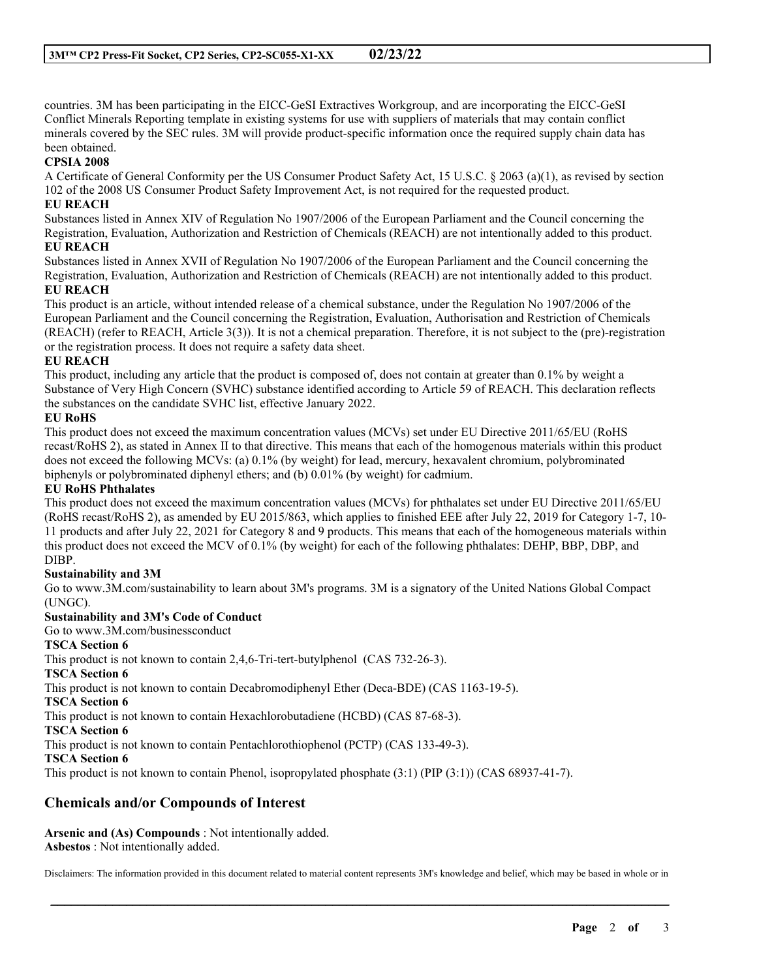countries. 3M has been participating in the EICC-GeSI Extractives Workgroup, and are incorporating the EICC-GeSI Conflict Minerals Reporting template in existing systems for use with suppliers of materials that may contain conflict minerals covered by the SEC rules. 3M will provide product-specific information once the required supply chain data has been obtained.

## **CPSIA 2008**

A Certificate of General Conformity per the US Consumer Product Safety Act, 15 U.S.C. § 2063 (a)(1), as revised by section 102 of the 2008 US Consumer Product Safety Improvement Act, is not required for the requested product.

## **EU REACH**

Substances listed in Annex XIV of Regulation No 1907/2006 of the European Parliament and the Council concerning the Registration, Evaluation, Authorization and Restriction of Chemicals (REACH) are not intentionally added to this product. **EU REACH**

Substances listed in Annex XVII of Regulation No 1907/2006 of the European Parliament and the Council concerning the Registration, Evaluation, Authorization and Restriction of Chemicals (REACH) are not intentionally added to this product. **EU REACH**

This product is an article, without intended release of a chemical substance, under the Regulation No 1907/2006 of the European Parliament and the Council concerning the Registration, Evaluation, Authorisation and Restriction of Chemicals (REACH) (refer to REACH, Article 3(3)). It is not a chemical preparation. Therefore, it is not subject to the (pre)-registration or the registration process. It does not require a safety data sheet.

### **EU REACH**

This product, including any article that the product is composed of, does not contain at greater than 0.1% by weight a Substance of Very High Concern (SVHC) substance identified according to Article 59 of REACH. This declaration reflects the substances on the candidate SVHC list, effective January 2022.

## **EU RoHS**

This product does not exceed the maximum concentration values (MCVs) set under EU Directive 2011/65/EU (RoHS recast/RoHS 2), as stated in Annex II to that directive. This means that each of the homogenous materials within this product does not exceed the following MCVs: (a) 0.1% (by weight) for lead, mercury, hexavalent chromium, polybrominated biphenyls or polybrominated diphenyl ethers; and (b) 0.01% (by weight) for cadmium.

## **EU RoHS Phthalates**

This product does not exceed the maximum concentration values (MCVs) for phthalates set under EU Directive 2011/65/EU (RoHS recast/RoHS 2), as amended by EU 2015/863, which applies to finished EEE after July 22, 2019 for Category 1-7, 10- 11 products and after July 22, 2021 for Category 8 and 9 products. This means that each of the homogeneous materials within this product does not exceed the MCV of 0.1% (by weight) for each of the following phthalates: DEHP, BBP, DBP, and DIBP.

### **Sustainability and 3M**

Go to www.3M.com/sustainability to learn about 3M's programs. 3M is a signatory of the United Nations Global Compact (UNGC).

## **Sustainability and 3M's Code of Conduct**

Go to www.3M.com/businessconduct

## **TSCA Section 6**

This product is not known to contain 2,4,6-Tri-tert-butylphenol (CAS 732-26-3).

#### **TSCA Section 6**

This product is not known to contain Decabromodiphenyl Ether (Deca-BDE) (CAS 1163-19-5).

#### **TSCA Section 6**

This product is not known to contain Hexachlorobutadiene (HCBD) (CAS 87-68-3).

**TSCA Section 6**

This product is not known to contain Pentachlorothiophenol (PCTP) (CAS 133-49-3).

#### **TSCA Section 6**

This product is not known to contain Phenol, isopropylated phosphate (3:1) (PIP (3:1)) (CAS 68937-41-7).

## **Chemicals and/or Compounds of Interest**

**Arsenic and (As) Compounds** : Not intentionally added. **Asbestos** : Not intentionally added.

Disclaimers: The information provided in this document related to material content represents 3M's knowledge and belief, which may be based in whole or in

\_\_\_\_\_\_\_\_\_\_\_\_\_\_\_\_\_\_\_\_\_\_\_\_\_\_\_\_\_\_\_\_\_\_\_\_\_\_\_\_\_\_\_\_\_\_\_\_\_\_\_\_\_\_\_\_\_\_\_\_\_\_\_\_\_\_\_\_\_\_\_\_\_\_\_\_\_\_\_\_\_\_\_\_\_\_\_\_\_\_